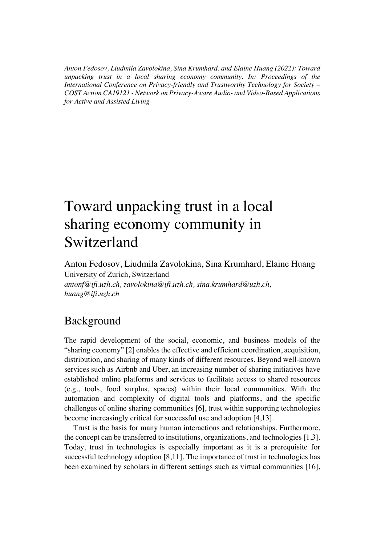*Anton Fedosov, Liudmila Zavolokina, Sina Krumhard, and Elaine Huang (2022): Toward unpacking trust in a local sharing economy community. In: Proceedings of the International Conference on Privacy-friendly and Trustworthy Technology for Society – COST Action CA19121 - Network on Privacy-Aware Audio- and Video-Based Applications for Active and Assisted Living*

## Toward unpacking trust in a local sharing economy community in Switzerland

Anton Fedosov, Liudmila Zavolokina, Sina Krumhard, Elaine Huang University of Zurich, Switzerland *antonf@ifi.uzh.ch, zavolokina@ifi.uzh.ch, sina.krumhard@uzh.ch, huang@ifi.uzh.ch*

## Background

The rapid development of the social, economic, and business models of the "sharing economy" [2] enables the effective and efficient coordination, acquisition, distribution, and sharing of many kinds of different resources. Beyond well-known services such as Airbnb and Uber, an increasing number of sharing initiatives have established online platforms and services to facilitate access to shared resources (e.g., tools, food surplus, spaces) within their local communities. With the automation and complexity of digital tools and platforms, and the specific challenges of online sharing communities [6], trust within supporting technologies become increasingly critical for successful use and adoption [4,13].

Trust is the basis for many human interactions and relationships. Furthermore, the concept can be transferred to institutions, organizations, and technologies [1,3]. Today, trust in technologies is especially important as it is a prerequisite for successful technology adoption [8,11]. The importance of trust in technologies has been examined by scholars in different settings such as virtual communities [16],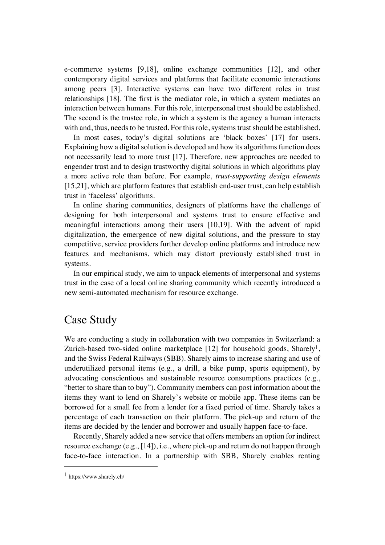e-commerce systems [9,18], online exchange communities [12], and other contemporary digital services and platforms that facilitate economic interactions among peers [3]. Interactive systems can have two different roles in trust relationships [18]. The first is the mediator role, in which a system mediates an interaction between humans. For this role, interpersonal trust should be established. The second is the trustee role, in which a system is the agency a human interacts with and, thus, needs to be trusted. For this role, systems trust should be established.

In most cases, today's digital solutions are 'black boxes' [17] for users. Explaining how a digital solution is developed and how its algorithms function does not necessarily lead to more trust [17]. Therefore, new approaches are needed to engender trust and to design trustworthy digital solutions in which algorithms play a more active role than before. For example, *trust-supporting design elements* [15,21], which are platform features that establish end-user trust, can help establish trust in 'faceless' algorithms.

In online sharing communities, designers of platforms have the challenge of designing for both interpersonal and systems trust to ensure effective and meaningful interactions among their users [10,19]. With the advent of rapid digitalization, the emergence of new digital solutions, and the pressure to stay competitive, service providers further develop online platforms and introduce new features and mechanisms, which may distort previously established trust in systems.

In our empirical study, we aim to unpack elements of interpersonal and systems trust in the case of a local online sharing community which recently introduced a new semi-automated mechanism for resource exchange.

## Case Study

We are conducting a study in collaboration with two companies in Switzerland: a Zurich-based two-sided online marketplace  $[12]$  for household goods, Sharely<sup>1</sup>, and the Swiss Federal Railways (SBB). Sharely aims to increase sharing and use of underutilized personal items (e.g., a drill, a bike pump, sports equipment), by advocating conscientious and sustainable resource consumptions practices (e.g., "better to share than to buy"). Community members can post information about the items they want to lend on Sharely's website or mobile app. These items can be borrowed for a small fee from a lender for a fixed period of time. Sharely takes a percentage of each transaction on their platform. The pick-up and return of the items are decided by the lender and borrower and usually happen face-to-face.

Recently, Sharely added a new service that offers members an option for indirect resource exchange (e.g., [14]), i.e., where pick-up and return do not happen through face-to-face interaction. In a partnership with SBB, Sharely enables renting

<sup>1</sup> https://www.sharely.ch/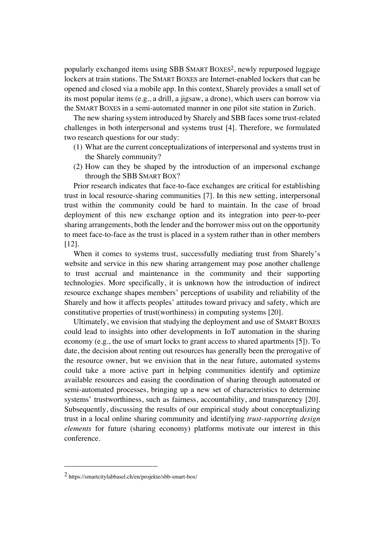popularly exchanged items using SBB SMART BOXES2, newly repurposed luggage lockers at train stations. The SMART BOXES are Internet-enabled lockers that can be opened and closed via a mobile app. In this context, Sharely provides a small set of its most popular items (e.g., a drill, a jigsaw, a drone), which users can borrow via the SMART BOXES in a semi-automated manner in one pilot site station in Zurich.

The new sharing system introduced by Sharely and SBB faces some trust-related challenges in both interpersonal and systems trust [4]. Therefore, we formulated two research questions for our study:

- (1) What are the current conceptualizations of interpersonal and systems trust in the Sharely community?
- (2) How can they be shaped by the introduction of an impersonal exchange through the SBB SMART BOX?

Prior research indicates that face-to-face exchanges are critical for establishing trust in local resource-sharing communities [7]. In this new setting, interpersonal trust within the community could be hard to maintain. In the case of broad deployment of this new exchange option and its integration into peer-to-peer sharing arrangements, both the lender and the borrower miss out on the opportunity to meet face-to-face as the trust is placed in a system rather than in other members [12].

When it comes to systems trust, successfully mediating trust from Sharely's website and service in this new sharing arrangement may pose another challenge to trust accrual and maintenance in the community and their supporting technologies. More specifically, it is unknown how the introduction of indirect resource exchange shapes members' perceptions of usability and reliability of the Sharely and how it affects peoples' attitudes toward privacy and safety, which are constitutive properties of trust(worthiness) in computing systems [20].

Ultimately, we envision that studying the deployment and use of SMART BOXES could lead to insights into other developments in IoT automation in the sharing economy (e.g., the use of smart locks to grant access to shared apartments [5]). To date, the decision about renting out resources has generally been the prerogative of the resource owner, but we envision that in the near future, automated systems could take a more active part in helping communities identify and optimize available resources and easing the coordination of sharing through automated or semi-automated processes, bringing up a new set of characteristics to determine systems' trustworthiness, such as fairness, accountability, and transparency [20]. Subsequently, discussing the results of our empirical study about conceptualizing trust in a local online sharing community and identifying *trust-supporting design elements* for future (sharing economy) platforms motivate our interest in this conference.

<sup>2</sup> https://smartcitylabbasel.ch/en/projekte/sbb-smart-box/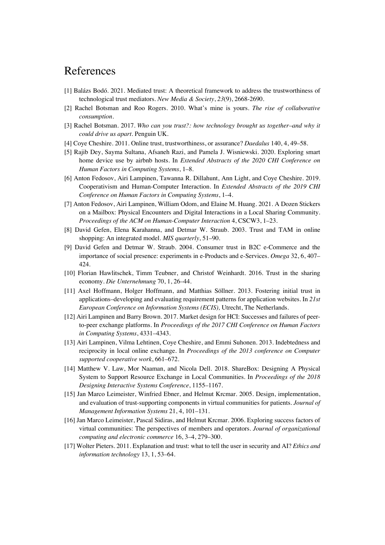## References

- [1] Balázs Bodó. 2021. Mediated trust: A theoretical framework to address the trustworthiness of technological trust mediators. *New Media & Society*, *23*(9), 2668-2690.
- [2] Rachel Botsman and Roo Rogers. 2010. What's mine is yours. *The rise of collaborative consumption*.
- [3] Rachel Botsman. 2017. *Who can you trust?: how technology brought us together–and why it could drive us apart*. Penguin UK.
- [4] Coye Cheshire. 2011. Online trust, trustworthiness, or assurance? *Daedalus* 140, 4, 49–58.
- [5] Rajib Dey, Sayma Sultana, Afsaneh Razi, and Pamela J. Wisniewski. 2020. Exploring smart home device use by airbnb hosts. In *Extended Abstracts of the 2020 CHI Conference on Human Factors in Computing Systems*, 1–8.
- [6] Anton Fedosov, Airi Lampinen, Tawanna R. Dillahunt, Ann Light, and Coye Cheshire. 2019. Cooperativism and Human-Computer Interaction. In *Extended Abstracts of the 2019 CHI Conference on Human Factors in Computing Systems*, 1–4.
- [7] Anton Fedosov, Airi Lampinen, William Odom, and Elaine M. Huang. 2021. A Dozen Stickers on a Mailbox: Physical Encounters and Digital Interactions in a Local Sharing Community. *Proceedings of the ACM on Human-Computer Interaction* 4, CSCW3, 1–23.
- [8] David Gefen, Elena Karahanna, and Detmar W. Straub. 2003. Trust and TAM in online shopping: An integrated model. *MIS quarterly*, 51–90.
- [9] David Gefen and Detmar W. Straub. 2004. Consumer trust in B2C e-Commerce and the importance of social presence: experiments in e-Products and e-Services. *Omega* 32, 6, 407– 424.
- [10] Florian Hawlitschek, Timm Teubner, and Christof Weinhardt. 2016. Trust in the sharing economy. *Die Unternehmung* 70, 1, 26–44.
- [11] Axel Hoffmann, Holger Hoffmann, and Matthias Söllner. 2013. Fostering initial trust in applications–developing and evaluating requirement patterns for application websites. In *21st European Conference on Information Systems (ECIS),* Utrecht, The Netherlands.
- [12] Airi Lampinen and Barry Brown. 2017. Market design for HCI: Successes and failures of peerto-peer exchange platforms. In *Proceedings of the 2017 CHI Conference on Human Factors in Computing Systems*, 4331–4343.
- [13] Airi Lampinen, Vilma Lehtinen, Coye Cheshire, and Emmi Suhonen. 2013. Indebtedness and reciprocity in local online exchange. In *Proceedings of the 2013 conference on Computer supported cooperative work*, 661–672.
- [14] Matthew V. Law, Mor Naaman, and Nicola Dell. 2018. ShareBox: Designing A Physical System to Support Resource Exchange in Local Communities. In *Proceedings of the 2018 Designing Interactive Systems Conference*, 1155–1167.
- [15] Jan Marco Leimeister, Winfried Ebner, and Helmut Krcmar. 2005. Design, implementation, and evaluation of trust-supporting components in virtual communities for patients. *Journal of Management Information Systems* 21, 4, 101–131.
- [16] Jan Marco Leimeister, Pascal Sidiras, and Helmut Krcmar. 2006. Exploring success factors of virtual communities: The perspectives of members and operators. *Journal of organizational computing and electronic commerce* 16, 3–4, 279–300.
- [17] Wolter Pieters. 2011. Explanation and trust: what to tell the user in security and AI? *Ethics and information technology* 13, 1, 53–64.